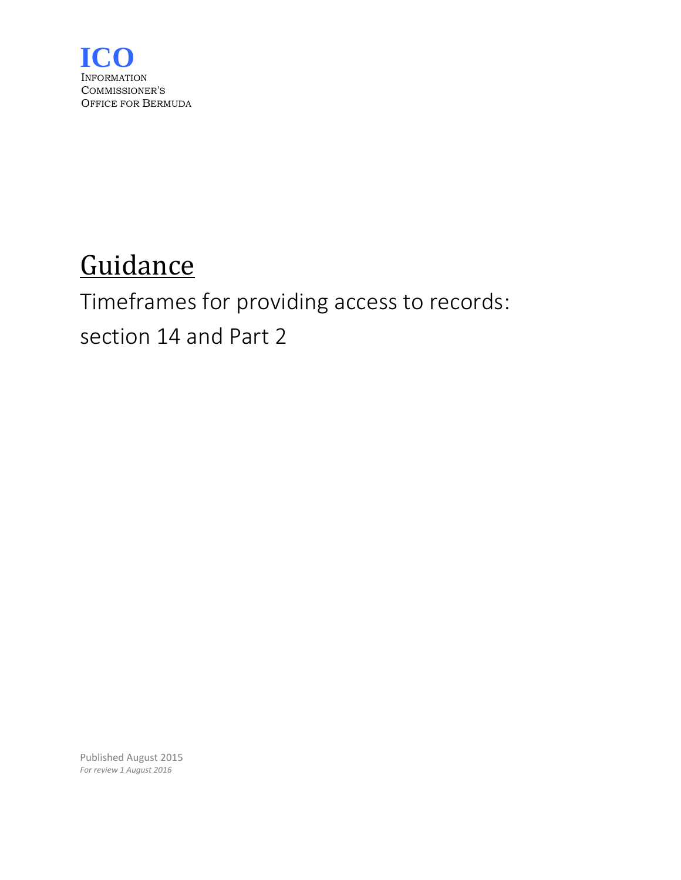

# **Guidance**

# Timeframes for providing access to records: section 14 and Part 2

Published August 2015 *For review 1 August 2016*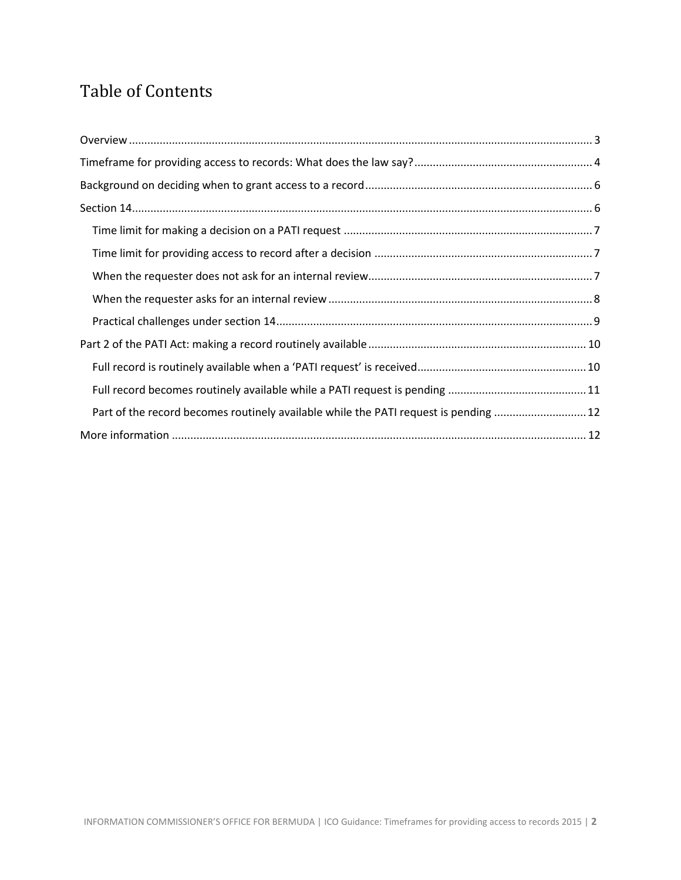# Table of Contents

| Part of the record becomes routinely available while the PATI request is pending  12 |
|--------------------------------------------------------------------------------------|
|                                                                                      |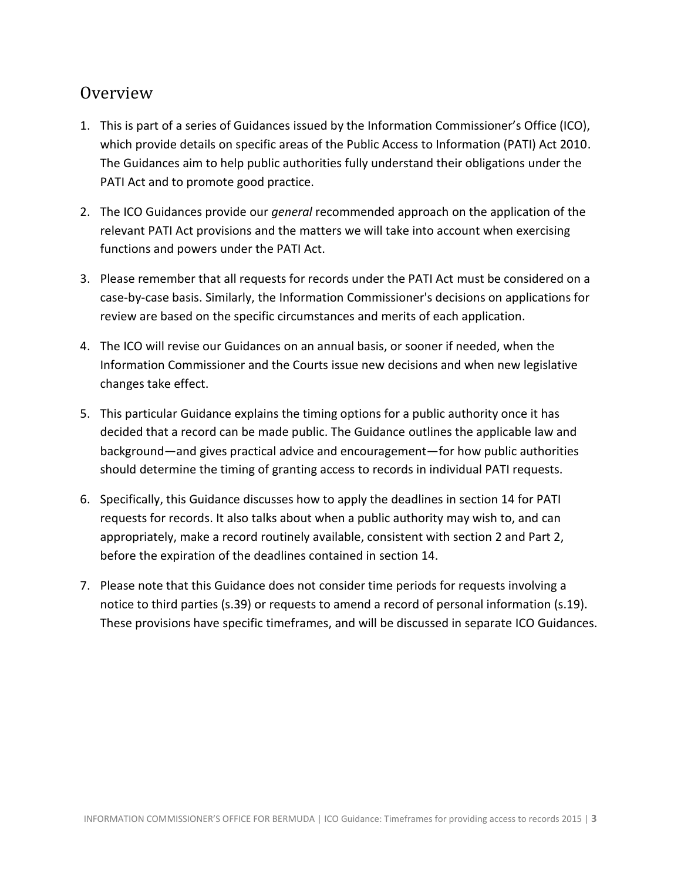## <span id="page-2-0"></span>Overview

- 1. This is part of a series of Guidances issued by the Information Commissioner's Office (ICO), which provide details on specific areas of the Public Access to Information (PATI) Act 2010. The Guidances aim to help public authorities fully understand their obligations under the PATI Act and to promote good practice.
- 2. The ICO Guidances provide our *general* recommended approach on the application of the relevant PATI Act provisions and the matters we will take into account when exercising functions and powers under the PATI Act.
- 3. Please remember that all requests for records under the PATI Act must be considered on a case-by-case basis. Similarly, the Information Commissioner's decisions on applications for review are based on the specific circumstances and merits of each application.
- 4. The ICO will revise our Guidances on an annual basis, or sooner if needed, when the Information Commissioner and the Courts issue new decisions and when new legislative changes take effect.
- 5. This particular Guidance explains the timing options for a public authority once it has decided that a record can be made public. The Guidance outlines the applicable law and background—and gives practical advice and encouragement—for how public authorities should determine the timing of granting access to records in individual PATI requests.
- 6. Specifically, this Guidance discusses how to apply the deadlines in section 14 for PATI requests for records. It also talks about when a public authority may wish to, and can appropriately, make a record routinely available, consistent with section 2 and Part 2, before the expiration of the deadlines contained in section 14.
- 7. Please note that this Guidance does not consider time periods for requests involving a notice to third parties (s.39) or requests to amend a record of personal information (s.19). These provisions have specific timeframes, and will be discussed in separate ICO Guidances.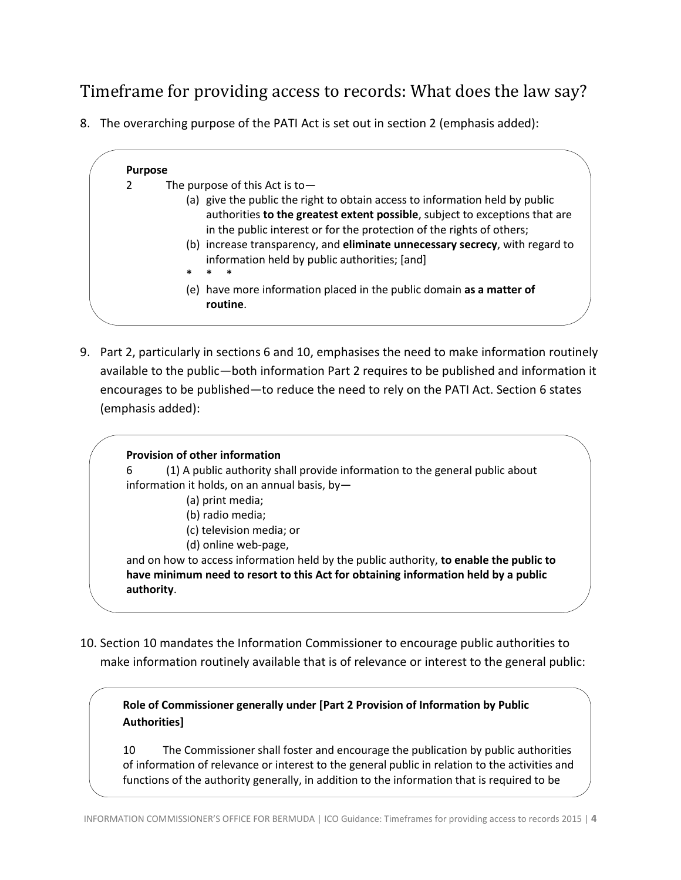# <span id="page-3-0"></span>Timeframe for providing access to records: What does the law say?

8. The overarching purpose of the PATI Act is set out in section 2 (emphasis added):

### **Purpose** 2 The purpose of this Act is to— (a) give the public the right to obtain access to information held by public authorities **to the greatest extent possible**, subject to exceptions that are in the public interest or for the protection of the rights of others; (b) increase transparency, and **eliminate unnecessary secrecy**, with regard to information held by public authorities; [and] \* \* \* (e) have more information placed in the public domain **as a matter of routine**.

9. Part 2, particularly in sections 6 and 10, emphasises the need to make information routinely available to the public—both information Part 2 requires to be published and information it encourages to be published—to reduce the need to rely on the PATI Act. Section 6 states (emphasis added):

# **Provision of other information**

6 (1) A public authority shall provide information to the general public about information it holds, on an annual basis, by—

- (a) print media;
- (b) radio media;

provided under this Part. The Part of the Part of the Part of the Part of the Part.

- (c) television media; or
- (d) online web-page,

and on how to access information held by the public authority, **to enable the public to have minimum need to resort to this Act for obtaining information held by a public authority**.

10. Section 10 mandates the Information Commissioner to encourage public authorities to make information routinely available that is of relevance or interest to the general public:

**Role of Commissioner generally under [Part 2 Provision of Information by Public Authorities]** 

10 The Commissioner shall foster and encourage the publication by public authorities of information of relevance or interest to the general public in relation to the activities and functions of the authority generally, in addition to the information that is required to be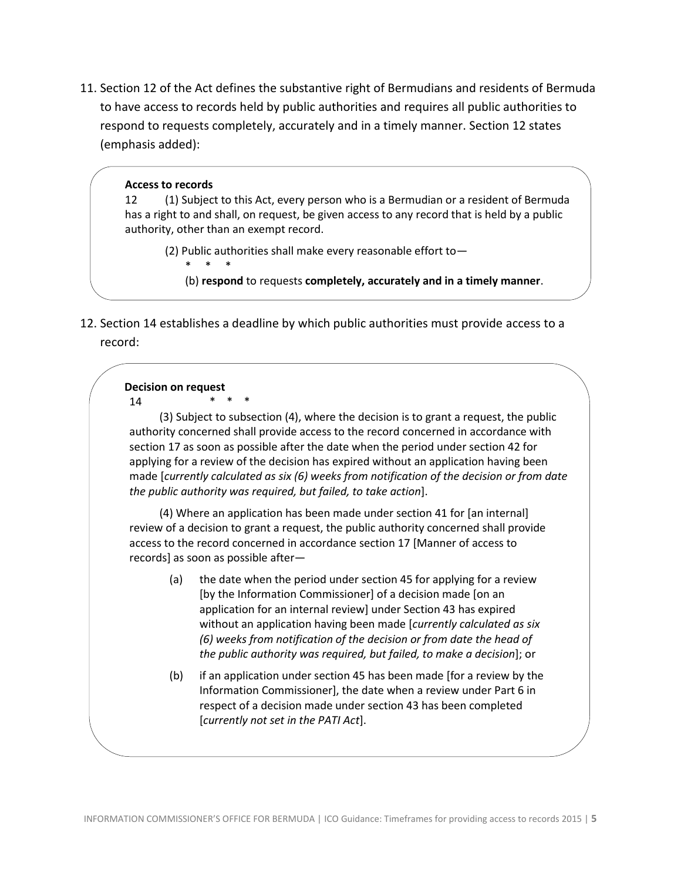11. Section 12 of the Act defines the substantive right of Bermudians and residents of Bermuda to have access to records held by public authorities and requires all public authorities to respond to requests completely, accurately and in a timely manner. Section 12 states (emphasis added):

#### **Access to records**

12 (1) Subject to this Act, every person who is a Bermudian or a resident of Bermuda has a right to and shall, on request, be given access to any record that is held by a public authority, other than an exempt record.

(2) Public authorities shall make every reasonable effort to—

\* \* \* (b) **respond** to requests **completely, accurately and in a timely manner**.

12. Section 14 establishes a deadline by which public authorities must provide access to a record:

#### **Decision on request**

14 \* \* \*

(3) Subject to subsection (4), where the decision is to grant a request, the public authority concerned shall provide access to the record concerned in accordance with section 17 as soon as possible after the date when the period under section 42 for applying for a review of the decision has expired without an application having been made [*currently calculated as six (6) weeks from notification of the decision or from date the public authority was required, but failed, to take action*].

(4) Where an application has been made under section 41 for [an internal] review of a decision to grant a request, the public authority concerned shall provide access to the record concerned in accordance section 17 [Manner of access to records] as soon as possible after—

- (a) the date when the period under section 45 for applying for a review [by the Information Commissioner] of a decision made [on an application for an internal review] under Section 43 has expired without an application having been made [*currently calculated as six (6) weeks from notification of the decision or from date the head of the public authority was required, but failed, to make a decision*]; or
- (b) if an application under section 45 has been made [for a review by the Information Commissioner], the date when a review under Part 6 in respect of a decision made under section 43 has been completed [*currently not set in the PATI Act*].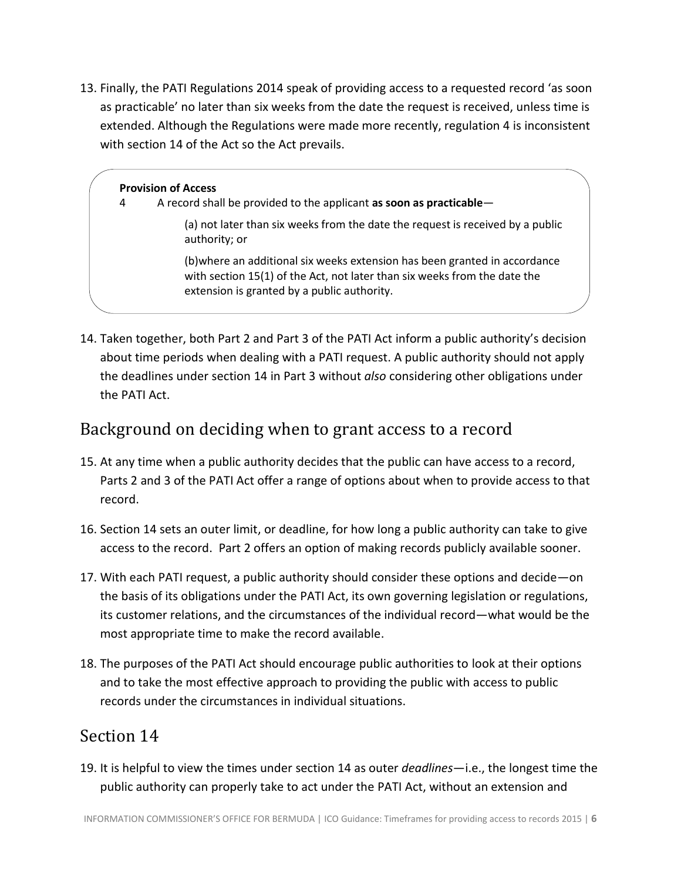13. Finally, the PATI Regulations 2014 speak of providing access to a requested record 'as soon as practicable' no later than six weeks from the date the request is received, unless time is extended. Although the Regulations were made more recently, regulation 4 is inconsistent with section 14 of the Act so the Act prevails.

#### **Provision of Access**

4 A record shall be provided to the applicant **as soon as practicable**—

(a) not later than six weeks from the date the request is received by a public authority; or

(b)where an additional six weeks extension has been granted in accordance with section 15(1) of the Act, not later than six weeks from the date the extension is granted by a public authority.

14. Taken together, both Part 2 and Part 3 of the PATI Act inform a public authority's decision about time periods when dealing with a PATI request. A public authority should not apply the deadlines under section 14 in Part 3 without *also* considering other obligations under the PATI Act.

## <span id="page-5-0"></span>Background on deciding when to grant access to a record

- 15. At any time when a public authority decides that the public can have access to a record, Parts 2 and 3 of the PATI Act offer a range of options about when to provide access to that record.
- 16. Section 14 sets an outer limit, or deadline, for how long a public authority can take to give access to the record. Part 2 offers an option of making records publicly available sooner.
- 17. With each PATI request, a public authority should consider these options and decide—on the basis of its obligations under the PATI Act, its own governing legislation or regulations, its customer relations, and the circumstances of the individual record—what would be the most appropriate time to make the record available.
- 18. The purposes of the PATI Act should encourage public authorities to look at their options and to take the most effective approach to providing the public with access to public records under the circumstances in individual situations.

### <span id="page-5-1"></span>Section 14

19. It is helpful to view the times under section 14 as outer *deadlines*—i.e., the longest time the public authority can properly take to act under the PATI Act, without an extension and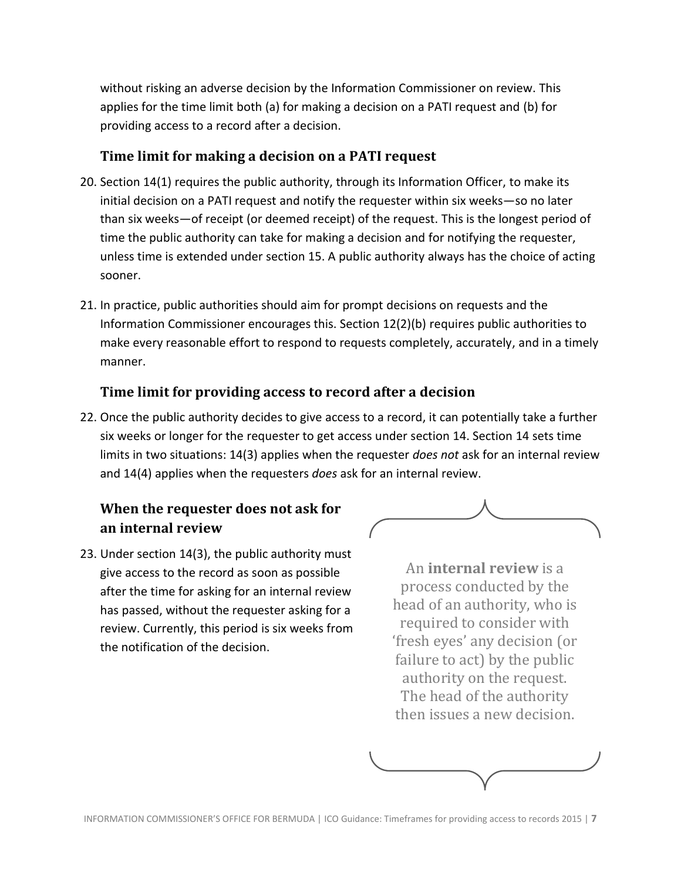without risking an adverse decision by the Information Commissioner on review. This applies for the time limit both (a) for making a decision on a PATI request and (b) for providing access to a record after a decision.

#### <span id="page-6-0"></span>**Time limit for making a decision on a PATI request**

- 20. Section 14(1) requires the public authority, through its Information Officer, to make its initial decision on a PATI request and notify the requester within six weeks—so no later than six weeks—of receipt (or deemed receipt) of the request. This is the longest period of time the public authority can take for making a decision and for notifying the requester, unless time is extended under section 15. A public authority always has the choice of acting sooner.
- 21. In practice, public authorities should aim for prompt decisions on requests and the Information Commissioner encourages this. Section 12(2)(b) requires public authorities to make every reasonable effort to respond to requests completely, accurately, and in a timely manner.

#### <span id="page-6-1"></span>**Time limit for providing access to record after a decision**

22. Once the public authority decides to give access to a record, it can potentially take a further six weeks or longer for the requester to get access under section 14. Section 14 sets time limits in two situations: 14(3) applies when the requester *does not* ask for an internal review and 14(4) applies when the requesters *does* ask for an internal review.

## <span id="page-6-2"></span>**When the requester does not ask for an internal review**

23. Under section 14(3), the public authority must give access to the record as soon as possible after the time for asking for an internal review has passed, without the requester asking for a review. Currently, this period is six weeks from the notification of the decision.



An **internal review** is a process conducted by the head of an authority, who is required to consider with 'fresh eyes' any decision (or failure to act) by the public authority on the request. The head of the authority then issues a new decision.

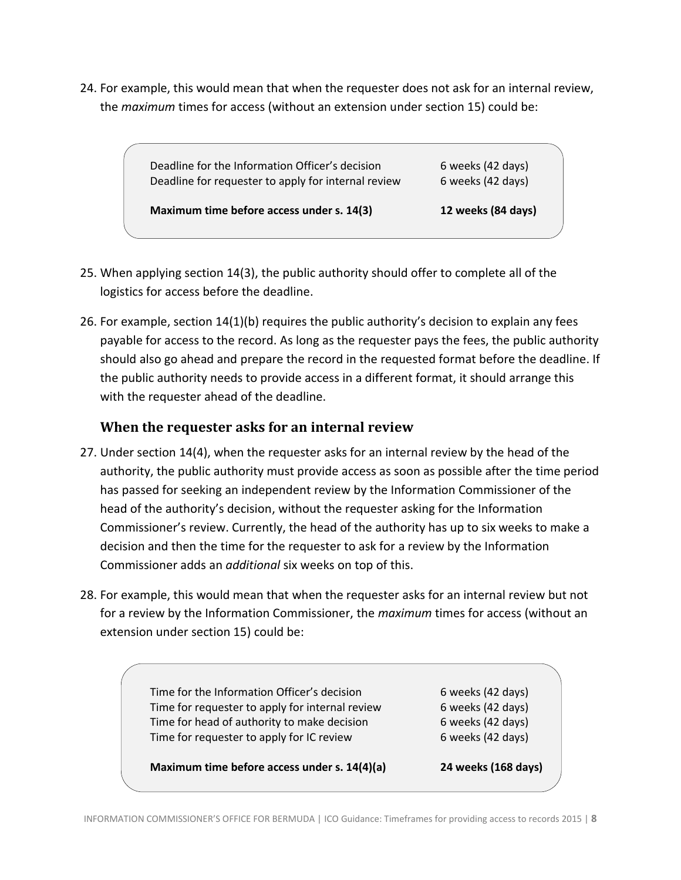24. For example, this would mean that when the requester does not ask for an internal review, the *maximum* times for access (without an extension under section 15) could be:

| Maximum time before access under s. 14(3) | 12 weeks (84 days) |
|-------------------------------------------|--------------------|
|                                           |                    |

- 25. When applying section 14(3), the public authority should offer to complete all of the logistics for access before the deadline.
- 26. For example, section 14(1)(b) requires the public authority's decision to explain any fees payable for access to the record. As long as the requester pays the fees, the public authority should also go ahead and prepare the record in the requested format before the deadline. If the public authority needs to provide access in a different format, it should arrange this with the requester ahead of the deadline.

### <span id="page-7-0"></span>**When the requester asks for an internal review**

- 27. Under section 14(4), when the requester asks for an internal review by the head of the authority, the public authority must provide access as soon as possible after the time period has passed for seeking an independent review by the Information Commissioner of the head of the authority's decision, without the requester asking for the Information Commissioner's review. Currently, the head of the authority has up to six weeks to make a decision and then the time for the requester to ask for a review by the Information Commissioner adds an *additional* six weeks on top of this.
- 28. For example, this would mean that when the requester asks for an internal review but not for a review by the Information Commissioner, the *maximum* times for access (without an extension under section 15) could be:

Time for the Information Officer's decision 6 weeks (42 days) Time for requester to apply for internal review 6 weeks (42 days) Time for head of authority to make decision 6 weeks (42 days) Time for requester to apply for IC review 6 weeks (42 days)

**Maximum time before access under s. 14(4)(a) 24 weeks (168 days)**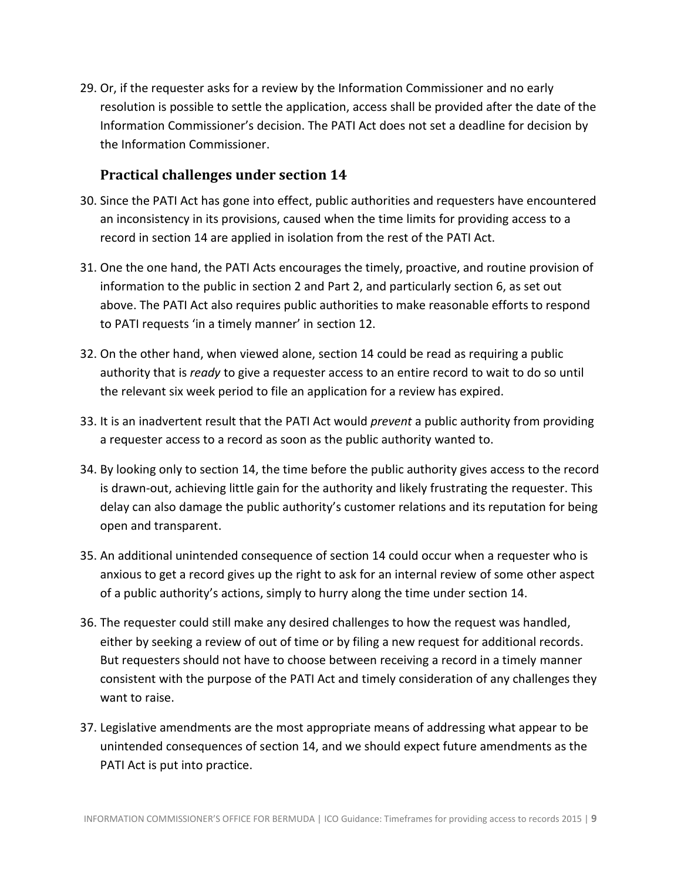29. Or, if the requester asks for a review by the Information Commissioner and no early resolution is possible to settle the application, access shall be provided after the date of the Information Commissioner's decision. The PATI Act does not set a deadline for decision by the Information Commissioner.

#### <span id="page-8-0"></span>**Practical challenges under section 14**

- 30. Since the PATI Act has gone into effect, public authorities and requesters have encountered an inconsistency in its provisions, caused when the time limits for providing access to a record in section 14 are applied in isolation from the rest of the PATI Act.
- 31. One the one hand, the PATI Acts encourages the timely, proactive, and routine provision of information to the public in section 2 and Part 2, and particularly section 6, as set out above. The PATI Act also requires public authorities to make reasonable efforts to respond to PATI requests 'in a timely manner' in section 12.
- 32. On the other hand, when viewed alone, section 14 could be read as requiring a public authority that is *ready* to give a requester access to an entire record to wait to do so until the relevant six week period to file an application for a review has expired.
- 33. It is an inadvertent result that the PATI Act would *prevent* a public authority from providing a requester access to a record as soon as the public authority wanted to.
- 34. By looking only to section 14, the time before the public authority gives access to the record is drawn-out, achieving little gain for the authority and likely frustrating the requester. This delay can also damage the public authority's customer relations and its reputation for being open and transparent.
- 35. An additional unintended consequence of section 14 could occur when a requester who is anxious to get a record gives up the right to ask for an internal review of some other aspect of a public authority's actions, simply to hurry along the time under section 14.
- 36. The requester could still make any desired challenges to how the request was handled, either by seeking a review of out of time or by filing a new request for additional records. But requesters should not have to choose between receiving a record in a timely manner consistent with the purpose of the PATI Act and timely consideration of any challenges they want to raise.
- 37. Legislative amendments are the most appropriate means of addressing what appear to be unintended consequences of section 14, and we should expect future amendments as the PATI Act is put into practice.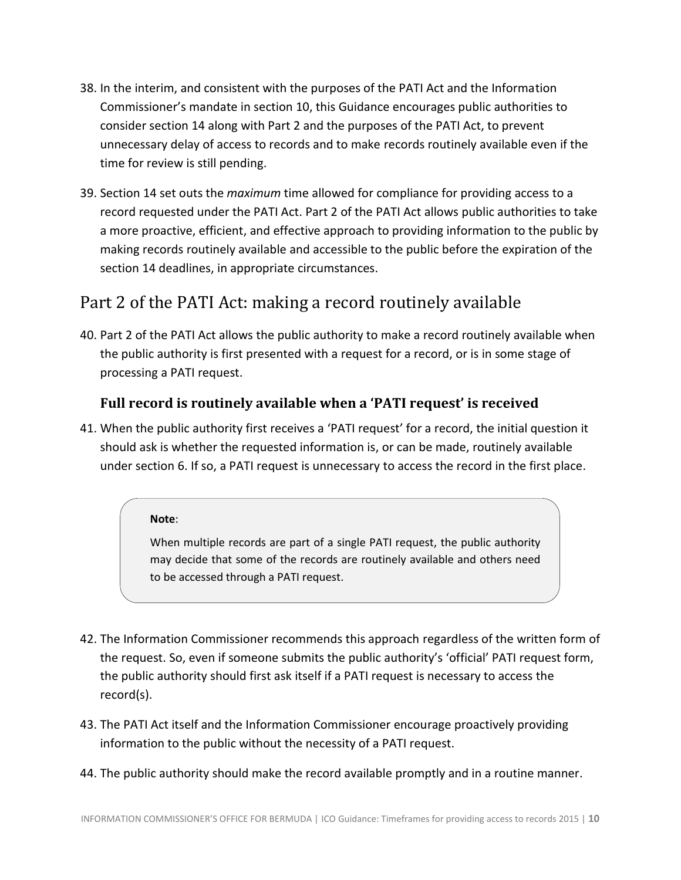- 38. In the interim, and consistent with the purposes of the PATI Act and the Information Commissioner's mandate in section 10, this Guidance encourages public authorities to consider section 14 along with Part 2 and the purposes of the PATI Act, to prevent unnecessary delay of access to records and to make records routinely available even if the time for review is still pending.
- 39. Section 14 set outs the *maximum* time allowed for compliance for providing access to a record requested under the PATI Act. Part 2 of the PATI Act allows public authorities to take a more proactive, efficient, and effective approach to providing information to the public by making records routinely available and accessible to the public before the expiration of the section 14 deadlines, in appropriate circumstances.

# <span id="page-9-0"></span>Part 2 of the PATI Act: making a record routinely available

40. Part 2 of the PATI Act allows the public authority to make a record routinely available when the public authority is first presented with a request for a record, or is in some stage of processing a PATI request.

### <span id="page-9-1"></span>**Full record is routinely available when a 'PATI request' is received**

41. When the public authority first receives a 'PATI request' for a record, the initial question it should ask is whether the requested information is, or can be made, routinely available under section 6. If so, a PATI request is unnecessary to access the record in the first place.

#### **Note**:

When multiple records are part of a single PATI request, the public authority may decide that some of the records are routinely available and others need to be accessed through a PATI request.

- 42. The Information Commissioner recommends this approach regardless of the written form of the request. So, even if someone submits the public authority's 'official' PATI request form, the public authority should first ask itself if a PATI request is necessary to access the record(s).
- 43. The PATI Act itself and the Information Commissioner encourage proactively providing information to the public without the necessity of a PATI request.
- 44. The public authority should make the record available promptly and in a routine manner.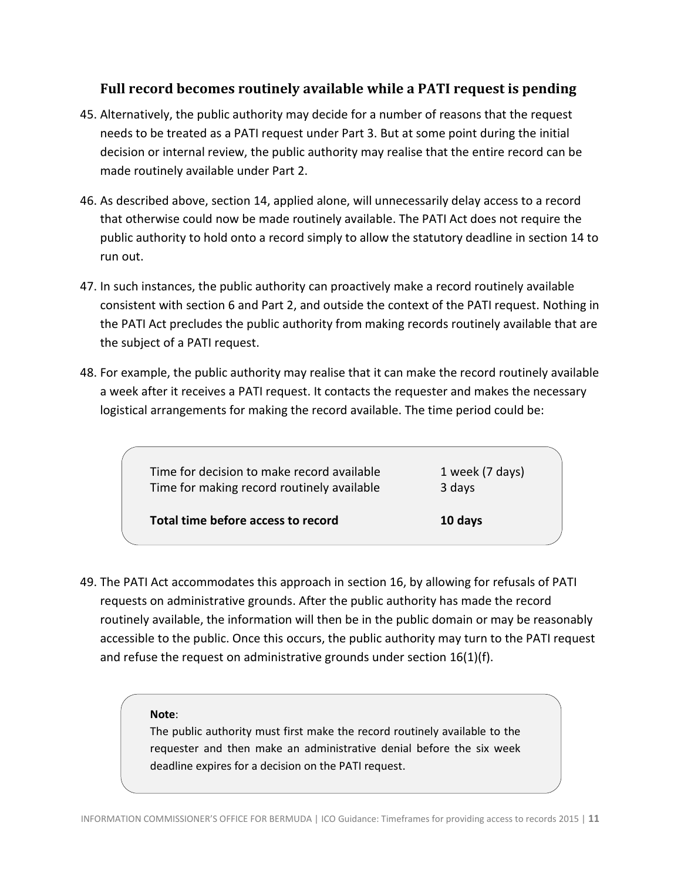#### <span id="page-10-0"></span>**Full record becomes routinely available while a PATI request is pending**

- 45. Alternatively, the public authority may decide for a number of reasons that the request needs to be treated as a PATI request under Part 3. But at some point during the initial decision or internal review, the public authority may realise that the entire record can be made routinely available under Part 2.
- 46. As described above, section 14, applied alone, will unnecessarily delay access to a record that otherwise could now be made routinely available. The PATI Act does not require the public authority to hold onto a record simply to allow the statutory deadline in section 14 to run out.
- 47. In such instances, the public authority can proactively make a record routinely available consistent with section 6 and Part 2, and outside the context of the PATI request. Nothing in the PATI Act precludes the public authority from making records routinely available that are the subject of a PATI request.
- 48. For example, the public authority may realise that it can make the record routinely available a week after it receives a PATI request. It contacts the requester and makes the necessary logistical arrangements for making the record available. The time period could be:

Time for decision to make record available 1 week (7 days) Time for making record routinely available 3 days

**Total time before access to record 10 days**

49. The PATI Act accommodates this approach in section 16, by allowing for refusals of PATI requests on administrative grounds. After the public authority has made the record routinely available, the information will then be in the public domain or may be reasonably accessible to the public. Once this occurs, the public authority may turn to the PATI request and refuse the request on administrative grounds under section  $16(1)(f)$ .

#### **Note**:

The public authority must first make the record routinely available to the requester and then make an administrative denial before the six week deadline expires for a decision on the PATI request.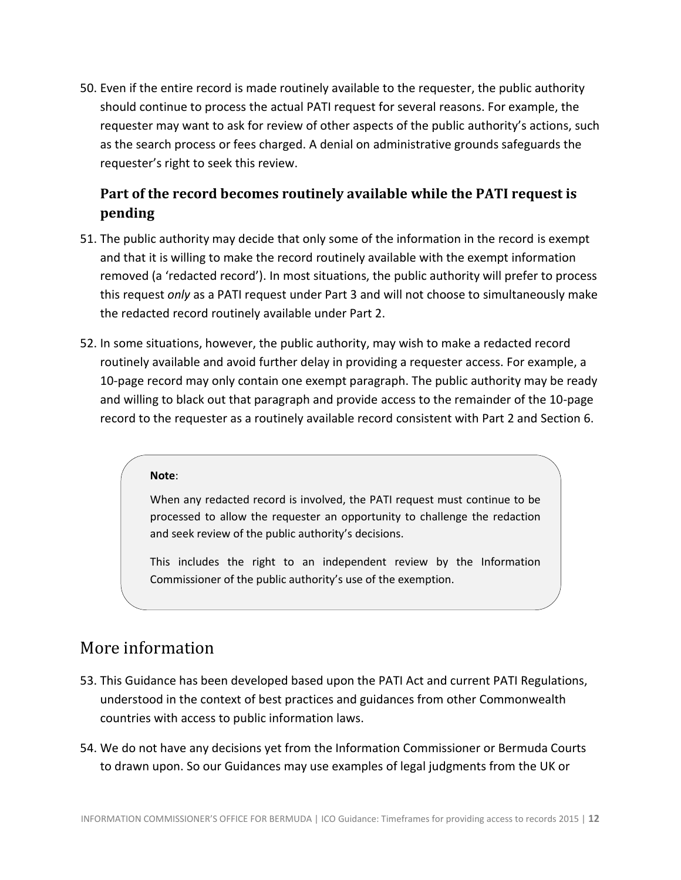50. Even if the entire record is made routinely available to the requester, the public authority should continue to process the actual PATI request for several reasons. For example, the requester may want to ask for review of other aspects of the public authority's actions, such as the search process or fees charged. A denial on administrative grounds safeguards the requester's right to seek this review.

## <span id="page-11-0"></span>**Part of the record becomes routinely available while the PATI request is pending**

- 51. The public authority may decide that only some of the information in the record is exempt and that it is willing to make the record routinely available with the exempt information removed (a 'redacted record'). In most situations, the public authority will prefer to process this request *only* as a PATI request under Part 3 and will not choose to simultaneously make the redacted record routinely available under Part 2.
- 52. In some situations, however, the public authority, may wish to make a redacted record routinely available and avoid further delay in providing a requester access. For example, a 10-page record may only contain one exempt paragraph. The public authority may be ready and willing to black out that paragraph and provide access to the remainder of the 10-page record to the requester as a routinely available record consistent with Part 2 and Section 6.

#### **Note**:

When any redacted record is involved, the PATI request must continue to be processed to allow the requester an opportunity to challenge the redaction and seek review of the public authority's decisions.

This includes the right to an independent review by the Information Commissioner of the public authority's use of the exemption.

## <span id="page-11-1"></span>More information

- 53. This Guidance has been developed based upon the PATI Act and current PATI Regulations, understood in the context of best practices and guidances from other Commonwealth countries with access to public information laws.
- 54. We do not have any decisions yet from the Information Commissioner or Bermuda Courts to drawn upon. So our Guidances may use examples of legal judgments from the UK or